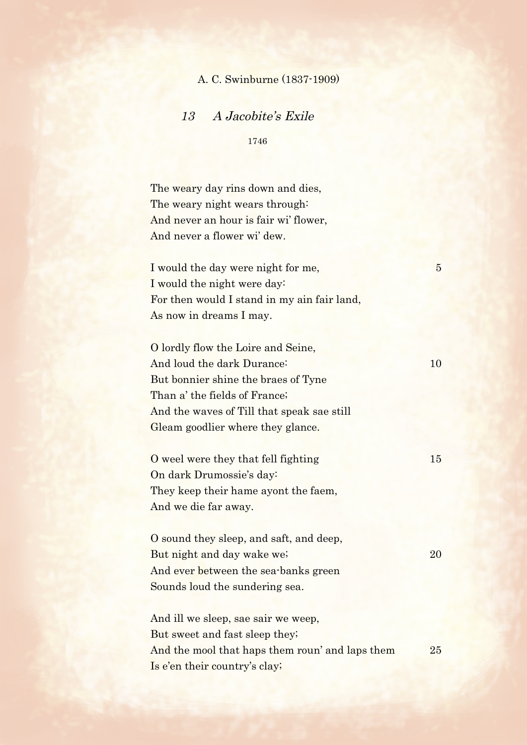## A. C. Swinburne (1837-1909)

## 13 A Jacobite's Exile

1746

The weary day rins down and dies, The weary night wears through: And never an hour is fair wi' flower, And never a flower wi' dew.

I would the day were night for me, 5 I would the night were day: For then would I stand in my ain fair land, As now in dreams I may.

O lordly flow the Loire and Seine, And loud the dark Durance: 10 But bonnier shine the braes of Tyne Than a' the fields of France; And the waves of Till that speak sae still Gleam goodlier where they glance.

O weel were they that fell fighting 15 On dark Drumossie's day: They keep their hame ayont the faem, And we die far away.

O sound they sleep, and saft, and deep, But night and day wake we; 20 And ever between the sea-banks green Sounds loud the sundering sea.

And ill we sleep, sae sair we weep, But sweet and fast sleep they; And the mool that haps them roun' and laps them 25 Is e'en their country's clay;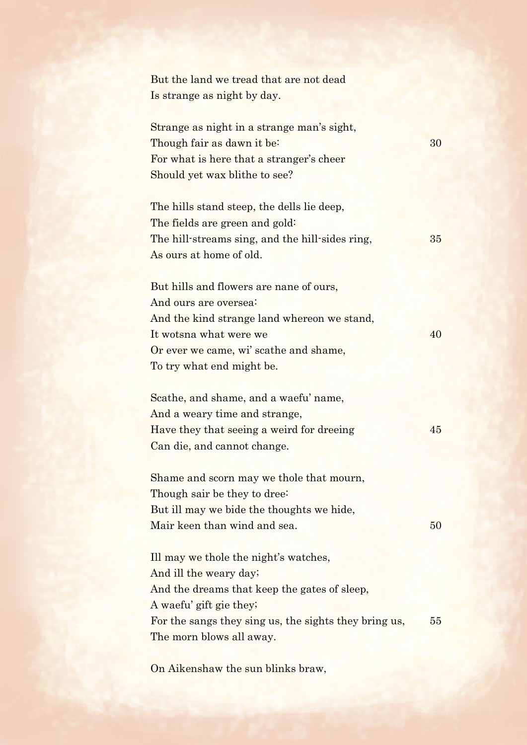But the land we tread that are not dead Is strange as night by day.

Strange as night in a strange man's sight, Though fair as dawn it be:  $\frac{30}{ }$ For what is here that a stranger's cheer Should yet wax blithe to see?

The hills stand steep, the dells lie deep, The fields are green and gold: The hill-streams sing, and the hill-sides ring, 35 As ours at home of old.

But hills and flowers are nane of ours, And ours are oversea: And the kind strange land whereon we stand, It wotsna what were we 40 Or ever we came, wi' scathe and shame, To try what end might be.

Scathe, and shame, and a waefu' name, And a weary time and strange, Have they that seeing a weird for dreeing 45 Can die, and cannot change.

Shame and scorn may we thole that mourn, Though sair be they to dree: But ill may we bide the thoughts we hide, Mair keen than wind and sea. 50

Ill may we thole the night's watches, And ill the weary day; And the dreams that keep the gates of sleep, A waefu' gift gie they; For the sangs they sing us, the sights they bring us, 55 The morn blows all away.

On Aikenshaw the sun blinks braw,